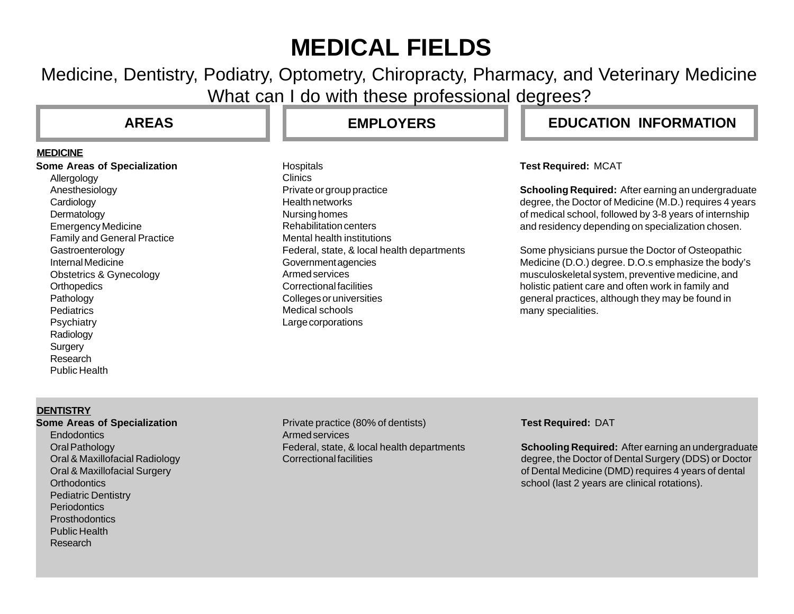# **MEDICAL FIELDS**

Medicine, Dentistry, Podiatry, Optometry, Chiropracty, Pharmacy, and Veterinary Medicine What can I do with these professional degrees?

#### **MEDICINE**

**Some Areas of Specialization** Allergology Anesthesiology **Cardiology** Dermatology Emergency Medicine Family and General Practice **Gastroenterology** Internal Medicine Obstetrics & Gynecology **Orthopedics** Pathology **Pediatrics Psychiatry** Radiology **Surgery** Research Public Health

**Hospitals** Clinics Private or group practice Health networks Nursing homes Rehabilitation centers Mental health institutions Federal, state, & local health departments Government agencies Armed services Correctional facilities Colleges or universities Medical schools Large corporations

# **AREAS EMPLOYERS EDUCATION INFORMATION**

### **Test Required:** MCAT

**Schooling Required:** After earning an undergraduate degree, the Doctor of Medicine (M.D.) requires 4 years of medical school, followed by 3-8 years of internship and residency depending on specialization chosen.

Some physicians pursue the Doctor of Osteopathic Medicine (D.O.) degree. D.O.s emphasize the body's musculoskeletal system, preventive medicine, and holistic patient care and often work in family and general practices, although they may be found in many specialities.

### **DENTISTRY**

### **Some Areas of Specialization**

**Endodontics** Oral Pathology Oral & Maxillofacial Radiology Oral & Maxillofacial Surgery **Orthodontics** Pediatric Dentistry **Periodontics Prosthodontics** Public Health Research

Private practice (80% of dentists) Armed services Federal, state, & local health departments Correctional facilities

### **Test Required:** DAT

**Schooling Required:** After earning an undergraduate degree, the Doctor of Dental Surgery (DDS) or Doctor of Dental Medicine (DMD) requires 4 years of dental school (last 2 years are clinical rotations).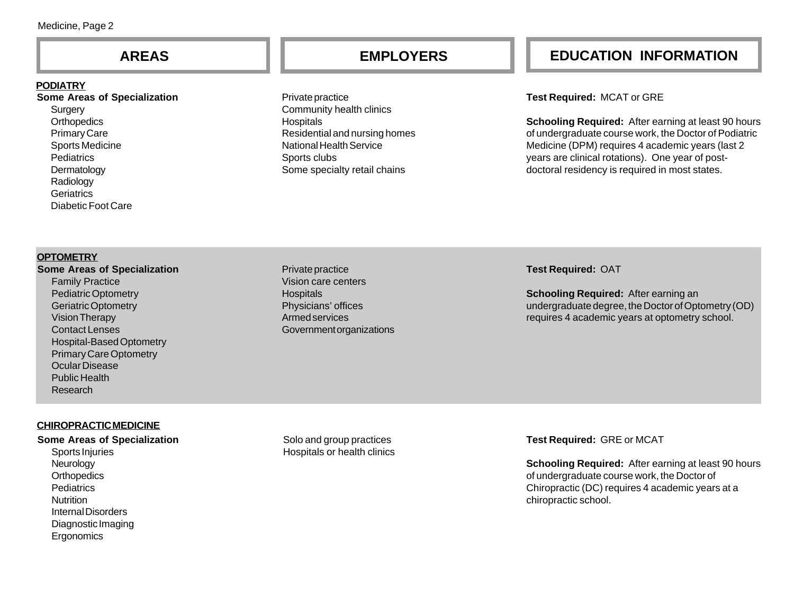#### **PODIATRY**

**Some Areas of Specialization Surgery Orthopedics** Primary Care Sports Medicine **Pediatrics** Dermatology Radiology **Geriatrics** Diabetic Foot Care

Private practice Community health clinics **Hospitals** Residential and nursing homes National Health Service Sports clubs Some specialty retail chains

# **AREAS EMPLOYERS EDUCATION INFORMATION**

#### **Test Required:** MCAT or GRE

**Schooling Required:** After earning at least 90 hours of undergraduate course work, the Doctor of Podiatric Medicine (DPM) requires 4 academic years (last 2 years are clinical rotations). One year of postdoctoral residency is required in most states.

#### **OPTOMETRY**

**Some Areas of Specialization** Family Practice Pediatric Optometry Geriatric Optometry Vision Therapy Contact Lenses Hospital-Based Optometry Primary Care Optometry Ocular Disease Public Health Research

Private practice Vision care centers **Hospitals** Physicians' offices Armed services Government organizations

#### **Test Required:** OAT

**Schooling Required:** After earning an undergraduate degree, the Doctor of Optometry (OD) requires 4 academic years at optometry school.

### **CHIROPRACTIC MEDICINE**

#### **Some Areas of Specialization**

Sports Injuries Neurology **Orthopedics Pediatrics Nutrition** Internal Disorders Diagnostic Imaging **Ergonomics** 

Solo and group practices Hospitals or health clinics **Test Required:** GRE or MCAT

**Schooling Required:** After earning at least 90 hours of undergraduate course work, the Doctor of Chiropractic (DC) requires 4 academic years at a chiropractic school.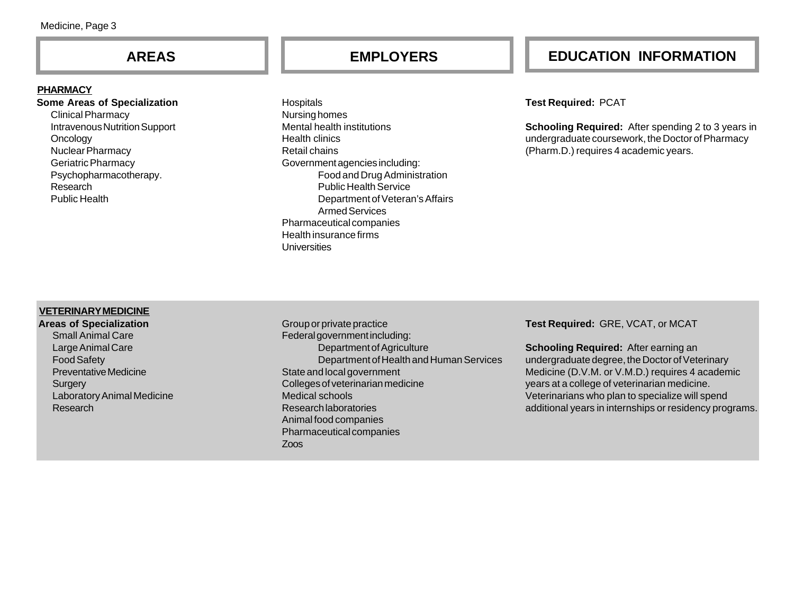#### **PHARMACY**

Research Public Health

#### **Some Areas of Specialization** Clinical Pharmacy Intravenous Nutrition Support **Oncology** Nuclear Pharmacy Geriatric Pharmacy Psychopharmacotherapy.

**Hospitals** Nursing homes Mental health institutions Health clinics Retail chains Government agencies including: Food and Drug Administration Public Health Service Department of Veteran's Affairs Armed Services Pharmaceutical companies Health insurance firms Universities

# **AREAS EMPLOYERS EDUCATION INFORMATION**

#### **Test Required:** PCAT

**Schooling Required:** After spending 2 to 3 years in undergraduate coursework, the Doctor of Pharmacy (Pharm.D.) requires 4 academic years.

#### **VETERINARY MEDICINE**

**Areas of Specialization** Small Animal Care Large Animal Care Food Safety Preventative Medicine **Surgery** Laboratory Animal Medicine Research

Group or private practice Federal government including: Department of Agriculture Department of Health and Human Services State and local government Colleges of veterinarian medicine Medical schools Research laboratories Animal food companies Pharmaceutical companies Zoos

**Test Required:** GRE, VCAT, or MCAT

**Schooling Required:** After earning an undergraduate degree, the Doctor of Veterinary Medicine (D.V.M. or V.M.D.) requires 4 academic years at a college of veterinarian medicine. Veterinarians who plan to specialize will spend additional years in internships or residency programs.